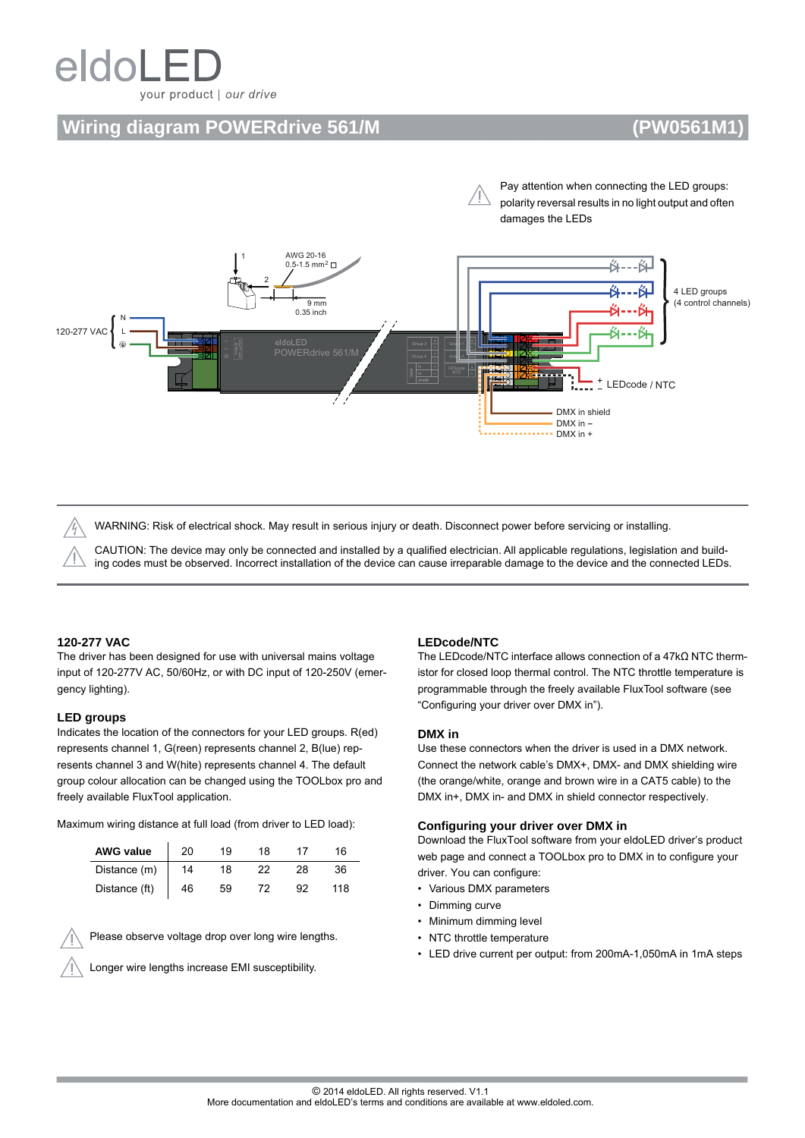# eldoL your product | our drive

## **Wiring diagram POWERdrive 561/M (PW0561M1)**





WARNING: Risk of electrical shock. May result in serious injury or death. Disconnect power before servicing or installing.

CAUTION: The device may only be connected and installed by a qualified electrician. All applicable regulations, legislation and building codes must be observed. Incorrect installation of the device can cause irreparable damage to the device and the connected LEDs.

#### **120-277 VAC**

The driver has been designed for use with universal mains voltage input of 120-277V AC, 50/60Hz, or with DC input of 120-250V (emergency lighting).

#### **LED groups**

Indicates the location of the connectors for your LED groups. R(ed) represents channel 1, G(reen) represents channel 2, B(lue) represents channel 3 and W(hite) represents channel 4. The default group colour allocation can be changed using the TOOLbox pro and freely available FluxTool application.

Maximum wiring distance at full load (from driver to LED load):

| <b>AWG value</b> | 20 | 19 | 18 |    | 16. |
|------------------|----|----|----|----|-----|
| Distance (m)     | 14 | 18 |    | 28 | 36. |
| Distance (ft)    | 46 | 59 |    |    | 118 |

Please observe voltage drop over long wire lengths.

Longer wire lengths increase EMI susceptibility.

#### **LEDcode/NTC**

The LEDcode/NTC interface allows connection of a 47kΩ NTC thermistor for closed loop thermal control. The NTC throttle temperature is programmable through the freely available FluxTool software (see "Configuring your driver over DMX in").

#### **DMX in**

Use these connectors when the driver is used in a DMX network. Connect the network cable's DMX+, DMX- and DMX shielding wire (the orange/white, orange and brown wire in a CAT5 cable) to the DMX in+, DMX in- and DMX in shield connector respectively.

#### **Configuring your driver over DMX in**

Download the FluxTool software from your eldoLED driver's product web page and connect a TOOLbox pro to DMX in to configure your driver. You can configure:

- Various DMX parameters
- Dimming curve
- Minimum dimming level
- NTC throttle temperature
- LED drive current per output: from 200mA-1,050mA in 1mA steps